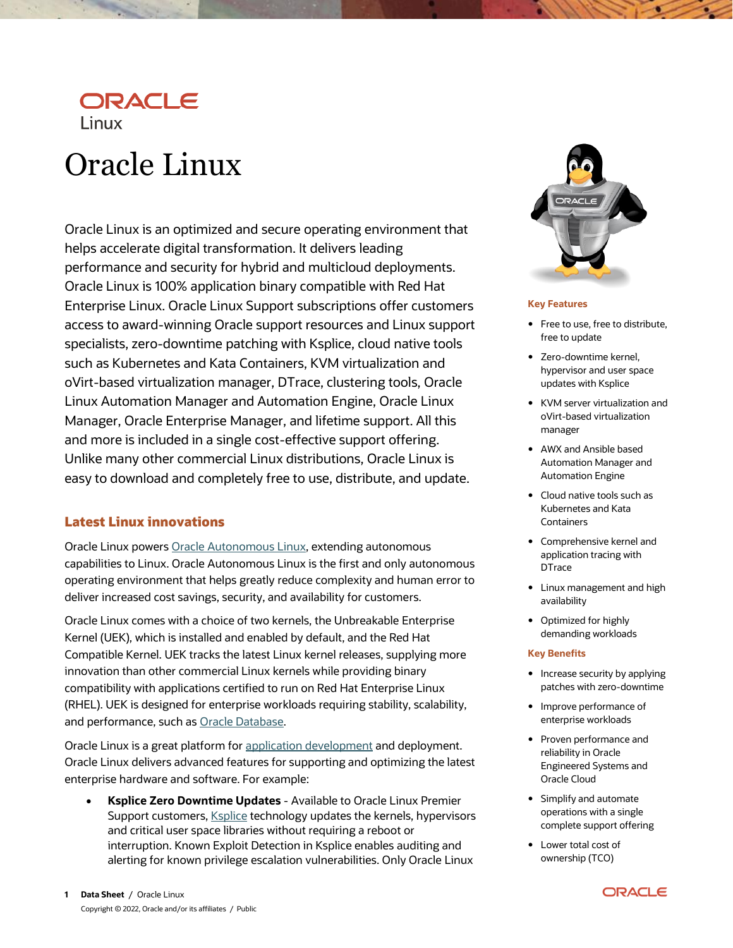

# Oracle Linux

Oracle Linux is an optimized and secure operating environment that helps accelerate digital transformation. It delivers leading performance and security for hybrid and multicloud deployments. Oracle Linux is 100% application binary compatible with Red Hat Enterprise Linux. Oracle Linux Support subscriptions offer customers access to award-winning Oracle support resources and Linux support specialists, zero-downtime patching with Ksplice, cloud native tools such as Kubernetes and Kata Containers, KVM virtualization and oVirt-based virtualization manager, DTrace, clustering tools, Oracle Linux Automation Manager and Automation Engine, Oracle Linux Manager, Oracle Enterprise Manager, and lifetime support. All this and more is included in a single cost-effective support offering. Unlike many other commercial Linux distributions, Oracle Linux is easy to download and completely free to use, distribute, and update.

## **Latest Linux innovations**

Oracle Linux power[s Oracle Autonomous Linux,](https://www.oracle.com/cloud/compute/autonomous-linux.html) extending autonomous capabilities to Linux. Oracle Autonomous Linux is the first and only autonomous operating environment that helps greatly reduce complexity and human error to deliver increased cost savings, security, and availability for customers.

Oracle Linux comes with a choice of two kernels, the Unbreakable Enterprise Kernel (UEK), which is installed and enabled by default, and the Red Hat Compatible Kernel. UEK tracks the latest Linux kernel releases, supplying more innovation than other commercial Linux kernels while providing binary compatibility with applications certified to run on Red Hat Enterprise Linux (RHEL). UEK is designed for enterprise workloads requiring stability, scalability, and performance, such as [Oracle Database.](https://www.oracle.com/a/ocom/docs/linux-for-oracle-database-wp-2068570.pdf)

Oracle Linux is a great platform for [application development](https://developer.oracle.com/linux/) and deployment. Oracle Linux delivers advanced features for supporting and optimizing the latest enterprise hardware and software. For example:

 **Ksplice Zero Downtime Updates** - Available to Oracle Linux Premier Support customers, **Ksplice technology updates the kernels**, hypervisors and critical user space libraries without requiring a reboot or interruption. Known Exploit Detection in Ksplice enables auditing and alerting for known privilege escalation vulnerabilities. Only Oracle Linux



#### **Key Features**

- Free to use, free to distribute, free to update
- Zero-downtime kernel, hypervisor and user space updates with Ksplice
- KVM server virtualization and oVirt-based virtualization manager
- AWX and Ansible based Automation Manager and Automation Engine
- Cloud native tools such as Kubernetes and Kata **Containers**
- Comprehensive kernel and application tracing with **DTrace**
- Linux management and high availability
- Optimized for highly demanding workloads

#### **Key Benefits**

- Increase security by applying patches with zero-downtime
- Improve performance of enterprise workloads
- Proven performance and reliability in Oracle Engineered Systems and Oracle Cloud
- Simplify and automate operations with a single complete support offering
- Lower total cost of ownership (TCO)

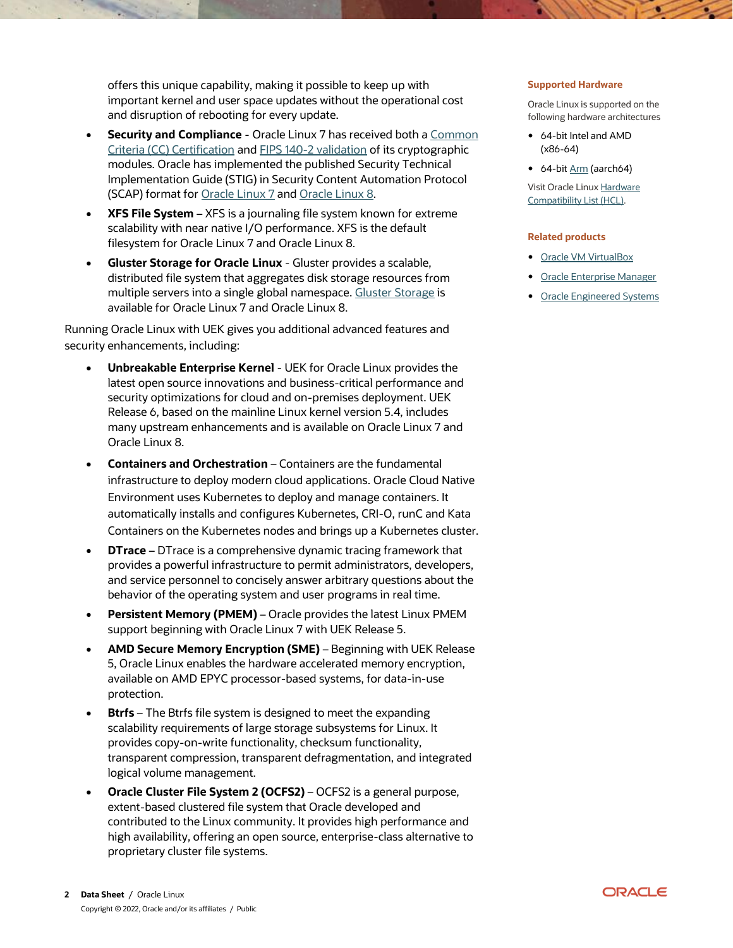offers this unique capability, making it possible to keep up with important kernel and user space updates without the operational cost and disruption of rebooting for every update.

- **Security and Compliance** Oracle Linux 7 has received both a Common [Criteria \(CC\) Certification](https://www.oracle.com/corporate/security-practices/assurance/development/external-security-evaluations/common-criteria/certifications.html) and [FIPS 140-2 validation](https://www.oracle.com/corporate/security-practices/assurance/development/external-security-evaluations/fips/certifications.html) of its cryptographic modules. Oracle has implemented the published Security Technical Implementation Guide (STIG) in Security Content Automation Protocol (SCAP) format for [Oracle Linux 7](https://docs.oracle.com/en/operating-systems/oracle-linux/7/security/) an[d Oracle Linux 8.](https://docs.oracle.com/en/operating-systems/oracle-linux/8/oscap/)
- **XFS File System** XFS is a journaling file system known for extreme scalability with near native I/O performance. XFS is the default filesystem for Oracle Linux 7 and Oracle Linux 8.
- **Gluster Storage for Oracle Linux**  Gluster provides a scalable, distributed file system that aggregates disk storage resources from multiple servers into a single global namespace. [Gluster Storage](https://docs.oracle.com/en/operating-systems/oracle-linux/gluster-storage/) is available for Oracle Linux 7 and Oracle Linux 8.

Running Oracle Linux with UEK gives you additional advanced features and security enhancements, including:

- **Unbreakable Enterprise Kernel** UEK for Oracle Linux provides the latest open source innovations and business-critical performance and security optimizations for cloud and on-premises deployment. UEK Release 6, based on the mainline Linux kernel version 5.4, includes many upstream enhancements and is available on Oracle Linux 7 and Oracle Linux 8.
- **Containers and Orchestration** Containers are the fundamental infrastructure to deploy modern cloud applications. Oracle Cloud Native Environment uses Kubernetes to deploy and manage containers. It automatically installs and configures Kubernetes, CRI-O, runC and Kata Containers on the Kubernetes nodes and brings up a Kubernetes cluster.
- **DTrace** DTrace is a comprehensive dynamic tracing framework that provides a powerful infrastructure to permit administrators, developers, and service personnel to concisely answer arbitrary questions about the behavior of the operating system and user programs in real time.
- **Persistent Memory (PMEM)** Oracle provides the latest Linux PMEM support beginning with Oracle Linux 7 with UEK Release 5.
- **AMD Secure Memory Encryption (SME)** Beginning with UEK Release 5, Oracle Linux enables the hardware accelerated memory encryption, available on AMD EPYC processor-based systems, for data-in-use protection.
- **Btrfs** The Btrfs file system is designed to meet the expanding scalability requirements of large storage subsystems for Linux. It provides copy-on-write functionality, checksum functionality, transparent compression, transparent defragmentation, and integrated logical volume management.
- **Oracle Cluster File System 2 (OCFS2)** OCFS2 is a general purpose, extent-based clustered file system that Oracle developed and contributed to the Linux community. It provides high performance and high availability, offering an open source, enterprise-class alternative to proprietary cluster file systems.

#### **Supported Hardware**

Oracle Linux is supported on the following hardware architectures

- 64-bit Intel and AMD (x86-64)
- 64-bi[t Arm](https://www.oracle.com/a/ocom/docs/linux/oracle-linux-for-arm.pdf) (aarch64)

Visit Oracle Linu[x Hardware](https://linux.oracle.com/hardware-certifications)  [Compatibility List \(HCL\).](https://linux.oracle.com/hardware-certifications) 

#### **Related products**

- [Oracle VM VirtualBox](https://www.oracle.com/virtualization/virtualbox/)
- [Oracle Enterprise Manager](https://www.oracle.com/enterprise-manager/)
- **•** [Oracle Engineered Systems](https://www.oracle.com/engineered-systems/)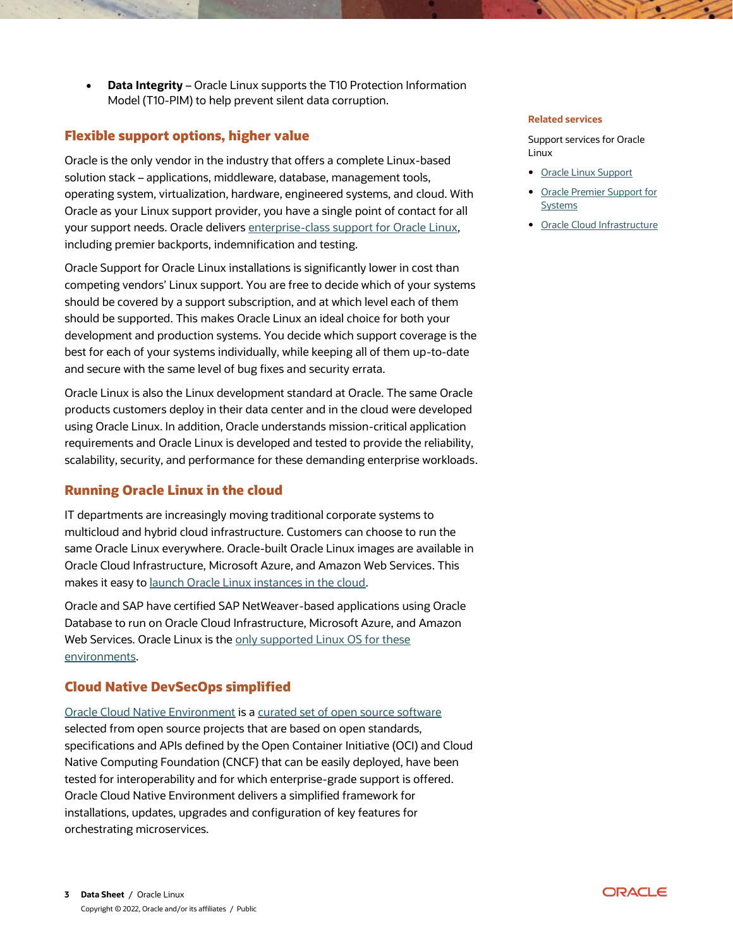**Data Integrity** – Oracle Linux supports the T10 Protection Information Model (T10-PIM) to help prevent silent data corruption.

# **Flexible support options, higher value**

Oracle is the only vendor in the industry that offers a complete Linux-based solution stack – applications, middleware, database, management tools, operating system, virtualization, hardware, engineered systems, and cloud. With Oracle as your Linux support provider, you have a single point of contact for all your support needs. Oracle deliver[s enterprise-class support for Oracle Linux,](https://www.oracle.com/linux/support/)  including premier backports, indemnification and testing.

Oracle Support for Oracle Linux installations is significantly lower in cost than competing vendors' Linux support. You are free to decide which of your systems should be covered by a support subscription, and at which level each of them should be supported. This makes Oracle Linux an ideal choice for both your development and production systems. You decide which support coverage is the best for each of your systems individually, while keeping all of them up-to-date and secure with the same level of bug fixes and security errata.

Oracle Linux is also the Linux development standard at Oracle. The same Oracle products customers deploy in their data center and in the cloud were developed using Oracle Linux. In addition, Oracle understands mission-critical application requirements and Oracle Linux is developed and tested to provide the reliability, scalability, security, and performance for these demanding enterprise workloads.

# **Running Oracle Linux in the cloud**

IT departments are increasingly moving traditional corporate systems to multicloud and hybrid cloud infrastructure. Customers can choose to run the same Oracle Linux everywhere. Oracle-built Oracle Linux images are available in Oracle Cloud Infrastructure, Microsoft Azure, and Amazon Web Services. This makes it easy to [launch Oracle Linux instances in the cloud.](https://blogs.oracle.com/linux/post/running-oracle-linux-in-public-clouds)

Oracle and SAP have certified SAP NetWeaver-based applications using Oracle Database to run on Oracle Cloud Infrastructure, Microsoft Azure, and Amazon Web Services. Oracle Linux is the only supported Linux OS for these [environments.](https://www.oracle.com/a/ocom/docs/linux/linux-sap-cloud.pdf)

# **Cloud Native DevSecOps simplified**

[Oracle Cloud Native Environment](https://docs.oracle.com/en/operating-systems/olcne/) is [a curated set of open source](https://docs.oracle.com/en/operating-systems/olcne/relnotes/components.html) software selected from open source projects that are based on open standards, specifications and APIs defined by the Open Container Initiative (OCI) and Cloud Native Computing Foundation (CNCF) that can be easily deployed, have been tested for interoperability and for which enterprise-grade support is offered. Oracle Cloud Native Environment delivers a simplified framework for installations, updates, upgrades and configuration of key features for orchestrating microservices.

#### **Related services**

Support services for Oracle Linux

- [Oracle Linux Support](https://www.oracle.com/linux/)
- Oracle Premier Support for **[Systems](https://www.oracle.com/support/premier/systems/)**
- [Oracle Cloud Infrastructure](https://www.oracle.com/cloud/)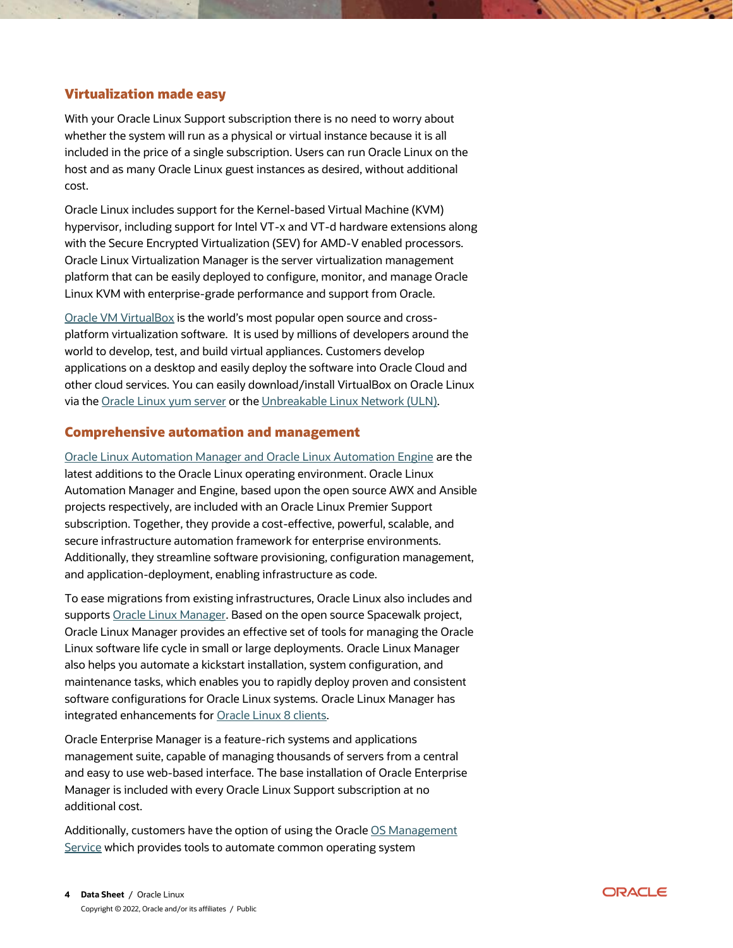## **Virtualization made easy**

With your Oracle Linux Support subscription there is no need to worry about whether the system will run as a physical or virtual instance because it is all included in the price of a single subscription. Users can run Oracle Linux on the host and as many Oracle Linux guest instances as desired, without additional cost.

Oracle Linux includes support for the Kernel-based Virtual Machine (KVM) hypervisor, including support for Intel VT-x and VT-d hardware extensions along with the Secure Encrypted Virtualization (SEV) for AMD-V enabled processors. Oracle Linux Virtualization Manager is the server virtualization management platform that can be easily deployed to configure, monitor, and manage Oracle Linux KVM with enterprise-grade performance and support from Oracle.

[Oracle VM VirtualBox](https://www.oracle.com/virtualization/virtualbox/) is the world's most popular open source and crossplatform virtualization software. It is used by millions of developers around the world to develop, test, and build virtual appliances. Customers develop applications on a desktop and easily deploy the software into Oracle Cloud and other cloud services. You can easily download/install VirtualBox on Oracle Linux via the [Oracle Linux yum server](https://yum.oracle.com/) or the [Unbreakable Linux Network \(ULN\).](https://linux.oracle.com/)

## **Comprehensive automation and management**

[Oracle Linux Automation Manager and Oracle Linux Automation Engine](https://www.oracle.com/a/ocom/docs/oracle-linux-automation-manager-ds.pdf) are the latest additions to the Oracle Linux operating environment. Oracle Linux Automation Manager and Engine, based upon the open source AWX and Ansible projects respectively, are included with an Oracle Linux Premier Support subscription. Together, they provide a cost-effective, powerful, scalable, and secure infrastructure automation framework for enterprise environments. Additionally, they streamline software provisioning, configuration management, and application-deployment, enabling infrastructure as code.

To ease migrations from existing infrastructures, Oracle Linux also includes and supports [Oracle Linux Manager.](https://docs.oracle.com/en/operating-systems/oracle-linux-manager/) Based on the open source Spacewalk project, Oracle Linux Manager provides an effective set of tools for managing the Oracle Linux software life cycle in small or large deployments. Oracle Linux Manager also helps you automate a kickstart installation, system configuration, and maintenance tasks, which enables you to rapidly deploy proven and consistent software configurations for Oracle Linux systems. Oracle Linux Manager has integrated enhancements for [Oracle Linux 8 clients.](https://docs.oracle.com/en/operating-systems/oracle-linux-manager/2.10/relnotes/relnotes.html#support)

Oracle Enterprise Manager is a feature-rich systems and applications management suite, capable of managing thousands of servers from a central and easy to use web-based interface. The base installation of Oracle Enterprise Manager is included with every Oracle Linux Support subscription at no additional cost.

Additionally, customers have the option of using the Oracle [OS Management](https://docs.oracle.com/en-us/iaas/os-management/home.htm)  [Service](https://docs.oracle.com/en-us/iaas/os-management/home.htm) which provides tools to automate common operating system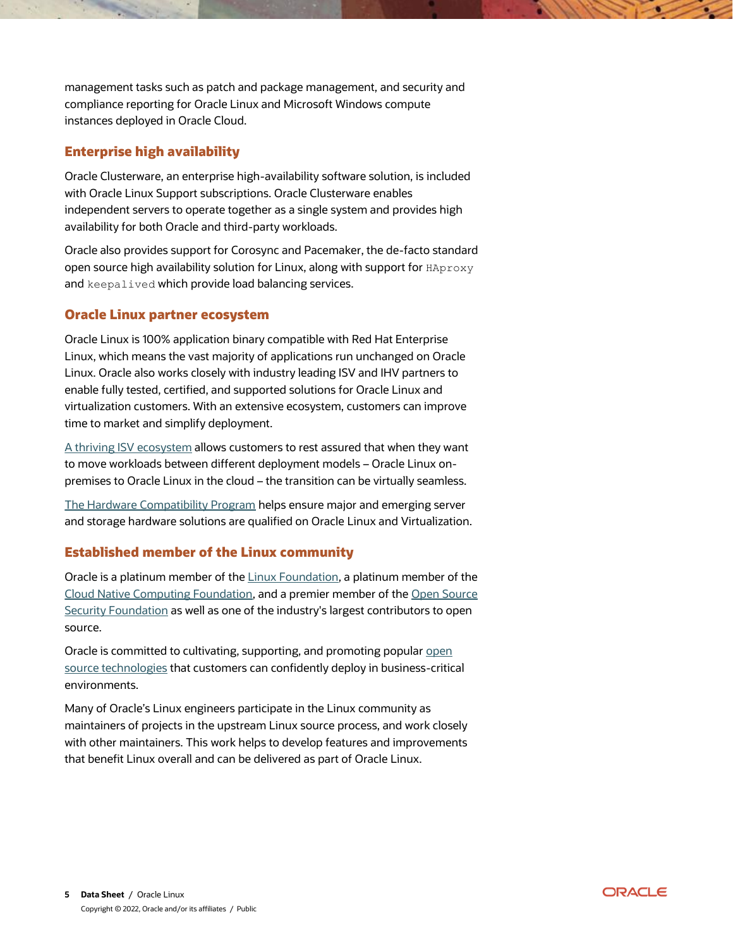management tasks such as patch and package management, and security and compliance reporting for Oracle Linux and Microsoft Windows compute instances deployed in Oracle Cloud.

# **Enterprise high availability**

Oracle Clusterware, an enterprise high-availability software solution, is included with Oracle Linux Support subscriptions. Oracle Clusterware enables independent servers to operate together as a single system and provides high availability for both Oracle and third-party workloads.

Oracle also provides support for Corosync and Pacemaker, the de-facto standard open source high availability solution for Linux, along with support for HAproxy and keepalived which provide load balancing services.

## **Oracle Linux partner ecosystem**

Oracle Linux is 100% application binary compatible with Red Hat Enterprise Linux, which means the vast majority of applications run unchanged on Oracle Linux. Oracle also works closely with industry leading ISV and IHV partners to enable fully tested, certified, and supported solutions for Oracle Linux and virtualization customers. With an extensive ecosystem, customers can improve time to market and simplify deployment.

[A thriving ISV](https://www.oracle.com/linux/isvcatalog) ecosystem allows customers to rest assured that when they want to move workloads between different deployment models – Oracle Linux onpremises to Oracle Linux in the cloud – the transition can be virtually seamless.

[The Hardware Compatibility Program](https://linux.oracle.com/hardware-certifications) helps ensure major and emerging server and storage hardware solutions are qualified on Oracle Linux and Virtualization.

## **Established member of the Linux community**

Oracle is a platinum member of the [Linux Foundation,](https://linuxfoundation.org/our-members-are-our-superpower-2/) a platinum member of the [Cloud Native Computing Foundation,](https://www.cncf.io/about/members/) and a premier member of the [Open Source](https://openssf.org/about/members/)  [Security Foundation](https://openssf.org/about/members/) as well as one of the industry's largest contributors to open source.

Oracle is committed to cultivating, supporting, and promoting popular open [source technologies](https://www.oracle.com/a/otn/docs/oracles-commitment-to-open-source.pdf) that customers can confidently deploy in business-critical environments.

Many of Oracle's Linux engineers participate in the Linux community as maintainers of projects in the upstream Linux source process, and work closely with other maintainers. This work helps to develop features and improvements that benefit Linux overall and can be delivered as part of Oracle Linux.